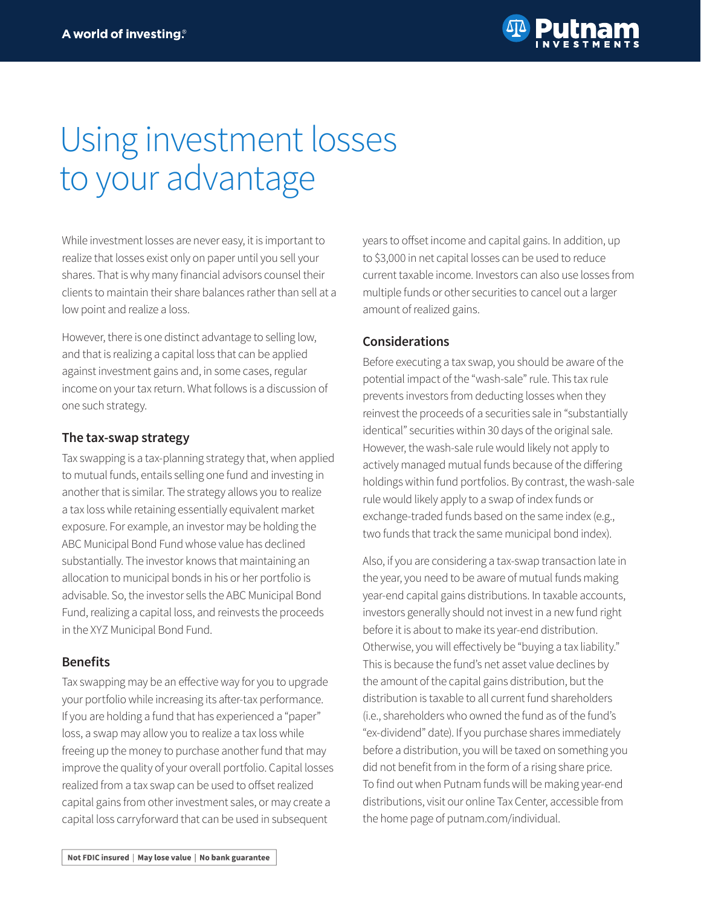

## Using investment losses to your advantage

While investment losses are never easy, it is important to realize that losses exist only on paper until you sell your shares. That is why many financial advisors counsel their clients to maintain their share balances rather than sell at a low point and realize a loss.

However, there is one distinct advantage to selling low, and that is realizing a capital loss that can be applied against investment gains and, in some cases, regular income on your tax return. What follows is a discussion of one such strategy.

## **The tax-swap strategy**

Tax swapping is a tax-planning strategy that, when applied to mutual funds, entails selling one fund and investing in another that is similar. The strategy allows you to realize a tax loss while retaining essentially equivalent market exposure. For example, an investor may be holding the ABC Municipal Bond Fund whose value has declined substantially. The investor knows that maintaining an allocation to municipal bonds in his or her portfolio is advisable. So, the investor sells the ABC Municipal Bond Fund, realizing a capital loss, and reinvests the proceeds in the XYZ Municipal Bond Fund.

## **Benefits**

Tax swapping may be an effective way for you to upgrade your portfolio while increasing its after-tax performance. If you are holding a fund that has experienced a "paper" loss, a swap may allow you to realize a tax loss while freeing up the money to purchase another fund that may improve the quality of your overall portfolio. Capital losses realized from a tax swap can be used to offset realized capital gains from other investment sales, or may create a capital loss carryforward that can be used in subsequent

years to offset income and capital gains. In addition, up to \$3,000 in net capital losses can be used to reduce current taxable income. Investors can also use losses from multiple funds or other securities to cancel out a larger amount of realized gains.

## **Considerations**

Before executing a tax swap, you should be aware of the potential impact of the "wash-sale" rule. This tax rule prevents investors from deducting losses when they reinvest the proceeds of a securities sale in "substantially identical" securities within 30 days of the original sale. However, the wash-sale rule would likely not apply to actively managed mutual funds because of the differing holdings within fund portfolios. By contrast, the wash-sale rule would likely apply to a swap of index funds or exchange-traded funds based on the same index (e.g., two funds that track the same municipal bond index).

Also, if you are considering a tax-swap transaction late in the year, you need to be aware of mutual funds making year-end capital gains distributions. In taxable accounts, investors generally should not invest in a new fund right before it is about to make its year-end distribution. Otherwise, you will effectively be "buying a tax liability." This is because the fund's net asset value declines by the amount of the capital gains distribution, but the distribution is taxable to all current fund shareholders (i.e., shareholders who owned the fund as of the fund's "ex-dividend" date). If you purchase shares immediately before a distribution, you will be taxed on something you did not benefit from in the form of a rising share price. To find out when Putnam funds will be making year-end distributions, visit our online Tax Center, accessible from the home page of [putnam.com/individual.](https://www.putnam.com/individual?ref=II867.pdf)